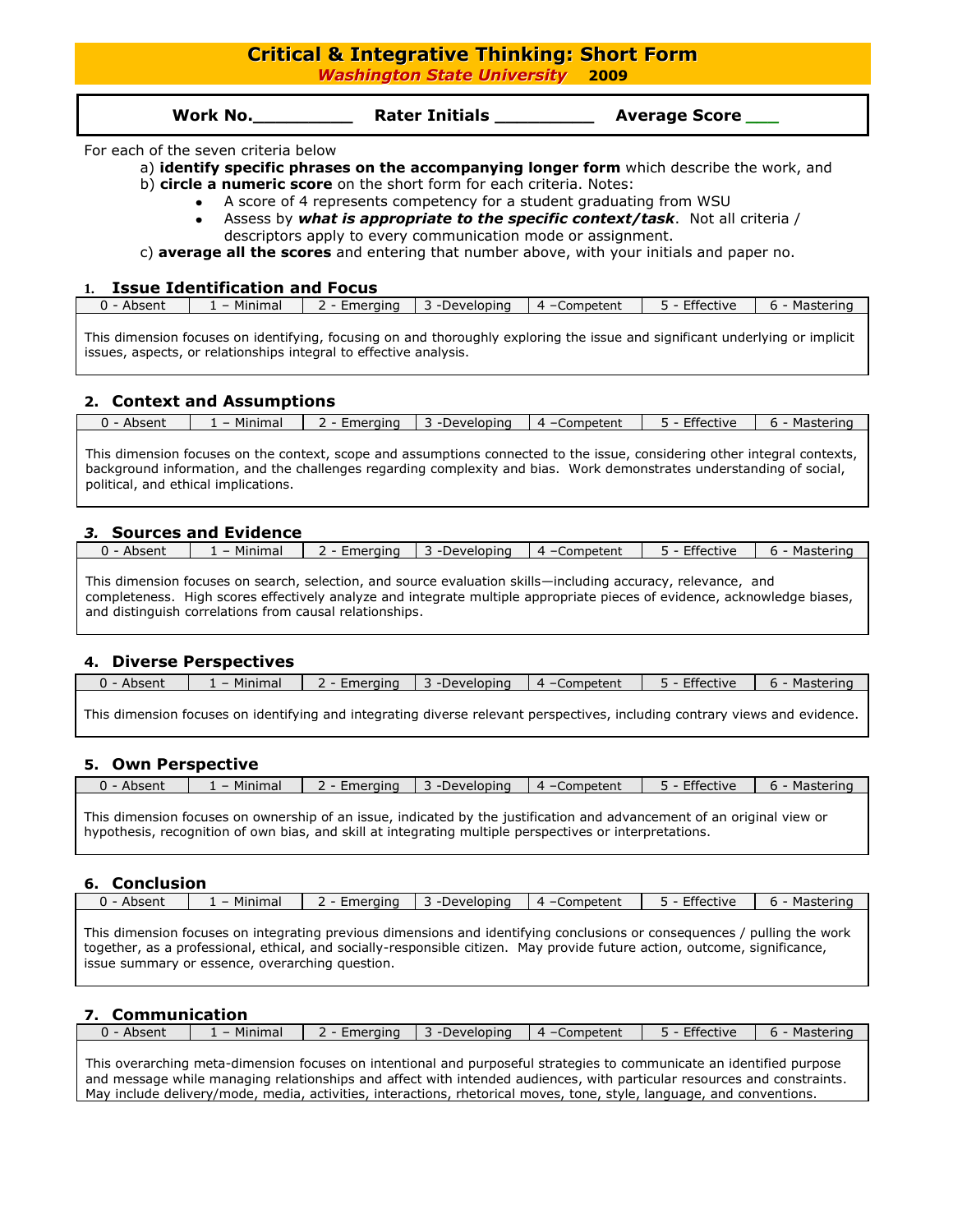# **Critical & Integrative Thinking: Short Form**

*Washington State University* **2009**

| Work No. | <b>Rater Initials</b> | <b>Average Score</b> |
|----------|-----------------------|----------------------|
|----------|-----------------------|----------------------|

#### For each of the seven criteria below

a) **identify specific phrases on the accompanying longer form** which describe the work, and

- b) **circle a numeric score** on the short form for each criteria. Notes:
	- A score of 4 represents competency for a student graduating from WSU
	- Assess by *what is appropriate to the specific context/task*. Not all criteria / descriptors apply to every communication mode or assignment.

c) **average all the scores** and entering that number above, with your initials and paper no.

#### **1. Issue Identification and Focus**

| 0<br>Absent | Minimal<br>Emeraina<br>-Developing |  | 4 - Competent | Effective | Mastering<br>$h -$<br>. . |  |
|-------------|------------------------------------|--|---------------|-----------|---------------------------|--|
|             |                                    |  |               |           |                           |  |

This dimension focuses on identifying, focusing on and thoroughly exploring the issue and significant underlying or implicit issues, aspects, or relationships integral to effective analysis.

### **2. Context and Assumptions**

| $-0.0$<br>Minima<br>--------<br>Mastering<br>Developing<br>∍rtive<br>$\sqrt{ }$<br>.nnetent<br>ı<br>ner<br>ainc<br>. .<br>703511. |  |
|-----------------------------------------------------------------------------------------------------------------------------------|--|
|-----------------------------------------------------------------------------------------------------------------------------------|--|

This dimension focuses on the context, scope and assumptions connected to the issue, considering other integral contexts, background information, and the challenges regarding complexity and bias. Work demonstrates understanding of social, political, and ethical implications.

### *3.* **Sources and Evidence**

| 0<br>Absent | Minimal | Emerging | -Developing | Competent<br>$\sqrt{ }$ | Effective | Mastering<br>h |
|-------------|---------|----------|-------------|-------------------------|-----------|----------------|
|             |         |          |             |                         |           |                |

This dimension focuses on search, selection, and source evaluation skills—including accuracy, relevance, and completeness. High scores effectively analyze and integrate multiple appropriate pieces of evidence, acknowledge biases, and distinguish correlations from causal relationships.

## **4. Diverse Perspectives**

| 0<br>Absent | Minimal<br>∟meraina |  | -Developing | Competent<br>$4 - 6$ | Effective | Mastering<br>h. |
|-------------|---------------------|--|-------------|----------------------|-----------|-----------------|
|             |                     |  |             |                      |           |                 |

This dimension focuses on identifying and integrating diverse relevant perspectives, including contrary views and evidence.

## **5. Own Perspective**

| O<br>.<br>Absent | Minimal | -meraina<br>uner: | .<br>$100V$ $\leftrightarrow$<br>elobino<br>71 J.C | າmpetent<br>$\Delta -$<br>$\mathsf{C} \mathsf{D} \mathsf{P}'$ | $ -$<br>.ctive |  |
|------------------|---------|-------------------|----------------------------------------------------|---------------------------------------------------------------|----------------|--|
|                  |         |                   |                                                    |                                                               |                |  |

This dimension focuses on ownership of an issue, indicated by the justification and advancement of an original view or hypothesis, recognition of own bias, and skill at integrating multiple perspectives or interpretations.

### **6. Conclusion**

| $\Omega$<br>Absent | Minimal | :meraina | Developing | Competent<br>$4 -$ | $-0$<br>ective | .<br>'Ic.<br>3 L C I<br>. . |
|--------------------|---------|----------|------------|--------------------|----------------|-----------------------------|
|                    |         |          |            |                    |                |                             |

This dimension focuses on integrating previous dimensions and identifying conclusions or consequences / pulling the work together, as a professional, ethical, and socially-responsible citizen. May provide future action, outcome, significance, issue summary or essence, overarching question.

## **7. Communication**

| 0<br>Absent | Minimal<br>Emeraina |  | -Developing | Competent<br>$\mathbf{v}$ | Effective<br>-- | Mastering<br>h<br>. . |
|-------------|---------------------|--|-------------|---------------------------|-----------------|-----------------------|
|             |                     |  |             |                           |                 |                       |

This overarching meta-dimension focuses on intentional and purposeful strategies to communicate an identified purpose and message while managing relationships and affect with intended audiences, with particular resources and constraints. May include delivery/mode, media, activities, interactions, rhetorical moves, tone, style, language, and conventions.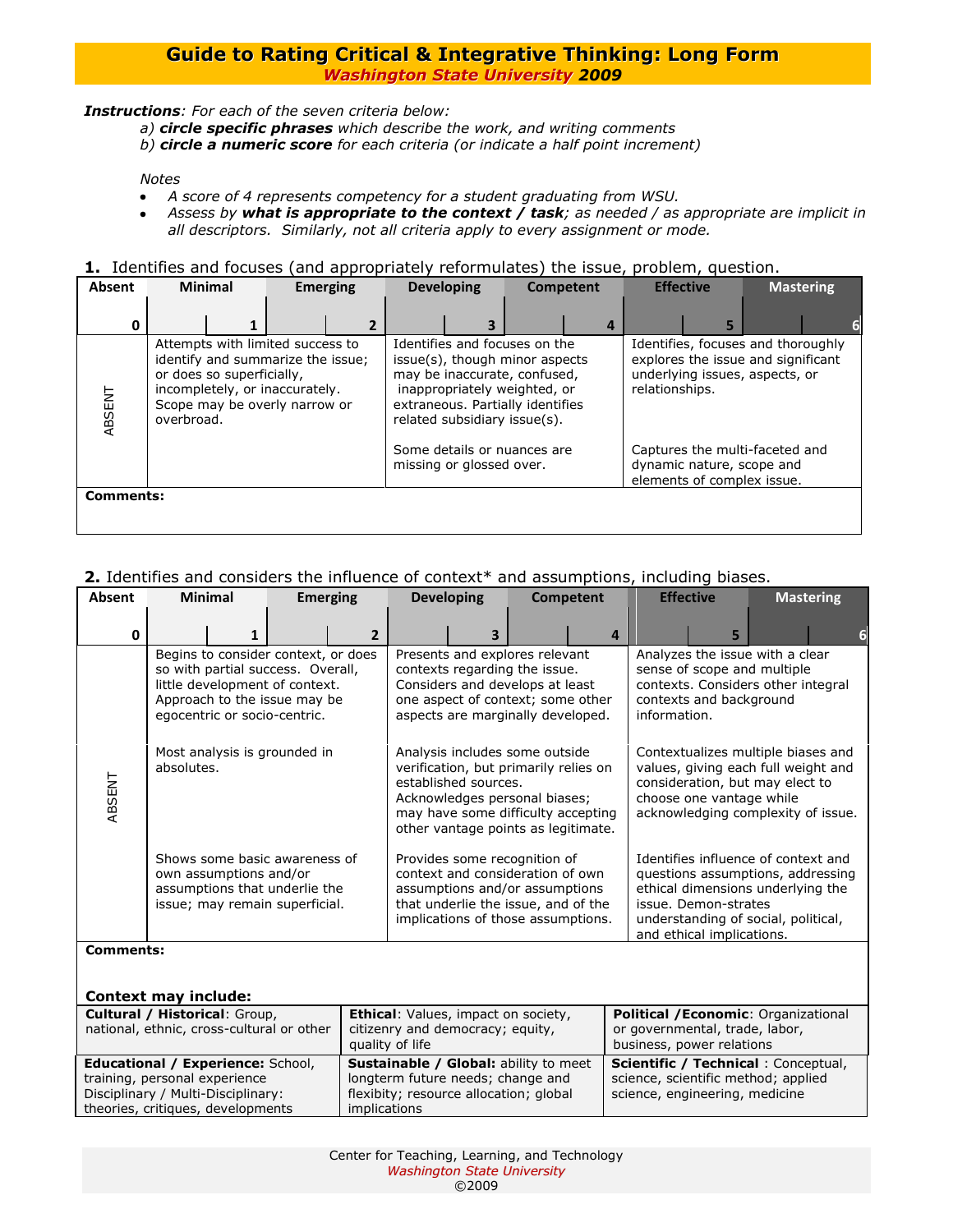*Instructions: For each of the seven criteria below:*

- *a) circle specific phrases which describe the work, and writing comments*
- *b) circle a numeric score for each criteria (or indicate a half point increment)*

### *Notes*

- *A score of 4 represents competency for a student graduating from WSU.*  $\bullet$
- *Assess by what is appropriate to the context / task; as needed / as appropriate are implicit in*   $\bullet$ *all descriptors. Similarly, not all criteria apply to every assignment or mode.*

#### **1.** Identifies and focuses (and appropriately reformulates) the issue, problem, question.

| <b>Absent</b> |                                                                                                                                                                                     | <b>Minimal</b> | <b>Emerging</b> |   | <b>Developing</b> |                          | Competent                                                                                                                                                                                           |  | <b>Effective</b>                                                                                                             |   |  | <b>Mastering</b> |
|---------------|-------------------------------------------------------------------------------------------------------------------------------------------------------------------------------------|----------------|-----------------|---|-------------------|--------------------------|-----------------------------------------------------------------------------------------------------------------------------------------------------------------------------------------------------|--|------------------------------------------------------------------------------------------------------------------------------|---|--|------------------|
| O             |                                                                                                                                                                                     |                |                 | 2 |                   |                          |                                                                                                                                                                                                     |  |                                                                                                                              | 5 |  |                  |
| ABSENT        | Attempts with limited success to<br>identify and summarize the issue;<br>or does so superficially,<br>incompletely, or inaccurately.<br>Scope may be overly narrow or<br>overbroad. |                |                 |   |                   |                          | Identifies and focuses on the<br>issue(s), though minor aspects<br>may be inaccurate, confused,<br>inappropriately weighted, or<br>extraneous. Partially identifies<br>related subsidiary issue(s). |  | Identifies, focuses and thoroughly<br>explores the issue and significant<br>underlying issues, aspects, or<br>relationships. |   |  |                  |
|               |                                                                                                                                                                                     |                |                 |   |                   | missing or glossed over. | Some details or nuances are                                                                                                                                                                         |  | Captures the multi-faceted and<br>dynamic nature, scope and<br>elements of complex issue.                                    |   |  |                  |
|               | <b>Comments:</b>                                                                                                                                                                    |                |                 |   |                   |                          |                                                                                                                                                                                                     |  |                                                                                                                              |   |  |                  |

## **2.** Identifies and considers the influence of context\* and assumptions, including biases.

| Absent           | <b>Minimal</b>         |                                                                                                                                                                            | <b>Emerging</b> | <b>Developing</b>    |                                                                                                                                                                                       | <b>Competent</b> | <b>Effective</b>                                                                                                                                                               |                                                   | <b>Mastering</b>                                                                                                                                     |  |
|------------------|------------------------|----------------------------------------------------------------------------------------------------------------------------------------------------------------------------|-----------------|----------------------|---------------------------------------------------------------------------------------------------------------------------------------------------------------------------------------|------------------|--------------------------------------------------------------------------------------------------------------------------------------------------------------------------------|---------------------------------------------------|------------------------------------------------------------------------------------------------------------------------------------------------------|--|
| 0                |                        |                                                                                                                                                                            | $\overline{2}$  |                      |                                                                                                                                                                                       | 4                |                                                                                                                                                                                | 5                                                 |                                                                                                                                                      |  |
|                  |                        | Begins to consider context, or does<br>so with partial success. Overall,<br>little development of context.<br>Approach to the issue may be<br>egocentric or socio-centric. |                 |                      | Presents and explores relevant<br>contexts regarding the issue.<br>Considers and develops at least<br>one aspect of context; some other<br>aspects are marginally developed.          |                  | Analyzes the issue with a clear<br>sense of scope and multiple<br>contexts. Considers other integral<br>contexts and background<br>information.                                |                                                   |                                                                                                                                                      |  |
| ABSENT           | absolutes.             | Most analysis is grounded in                                                                                                                                               |                 | established sources. | Analysis includes some outside<br>verification, but primarily relies on<br>Acknowledges personal biases;<br>may have some difficulty accepting<br>other vantage points as legitimate. |                  | Contextualizes multiple biases and<br>values, giving each full weight and<br>consideration, but may elect to<br>choose one vantage while<br>acknowledging complexity of issue. |                                                   |                                                                                                                                                      |  |
|                  | own assumptions and/or | Shows some basic awareness of<br>assumptions that underlie the<br>issue; may remain superficial.                                                                           |                 |                      | Provides some recognition of<br>context and consideration of own<br>assumptions and/or assumptions<br>that underlie the issue, and of the<br>implications of those assumptions.       |                  |                                                                                                                                                                                | issue. Demon-strates<br>and ethical implications. | Identifies influence of context and<br>questions assumptions, addressing<br>ethical dimensions underlying the<br>understanding of social, political, |  |
| <b>Comments:</b> |                        |                                                                                                                                                                            |                 |                      |                                                                                                                                                                                       |                  |                                                                                                                                                                                |                                                   |                                                                                                                                                      |  |

## **Context may include:**

| Cultural / Historical: Group,             | <b>Ethical:</b> Values, impact on society,   | <b>Political /Economic: Organizational</b> |
|-------------------------------------------|----------------------------------------------|--------------------------------------------|
| national, ethnic, cross-cultural or other | citizenry and democracy; equity,             | or governmental, trade, labor,             |
|                                           | quality of life                              | business, power relations                  |
| <b>Educational / Experience: School,</b>  | <b>Sustainable / Global: ability to meet</b> | <b>Scientific / Technical: Conceptual,</b> |
| training, personal experience             | longterm future needs; change and            | science, scientific method; applied        |
| Disciplinary / Multi-Disciplinary:        | flexibity; resource allocation; global       | science, engineering, medicine             |
| theories, critiques, developments         | <i>implications</i>                          |                                            |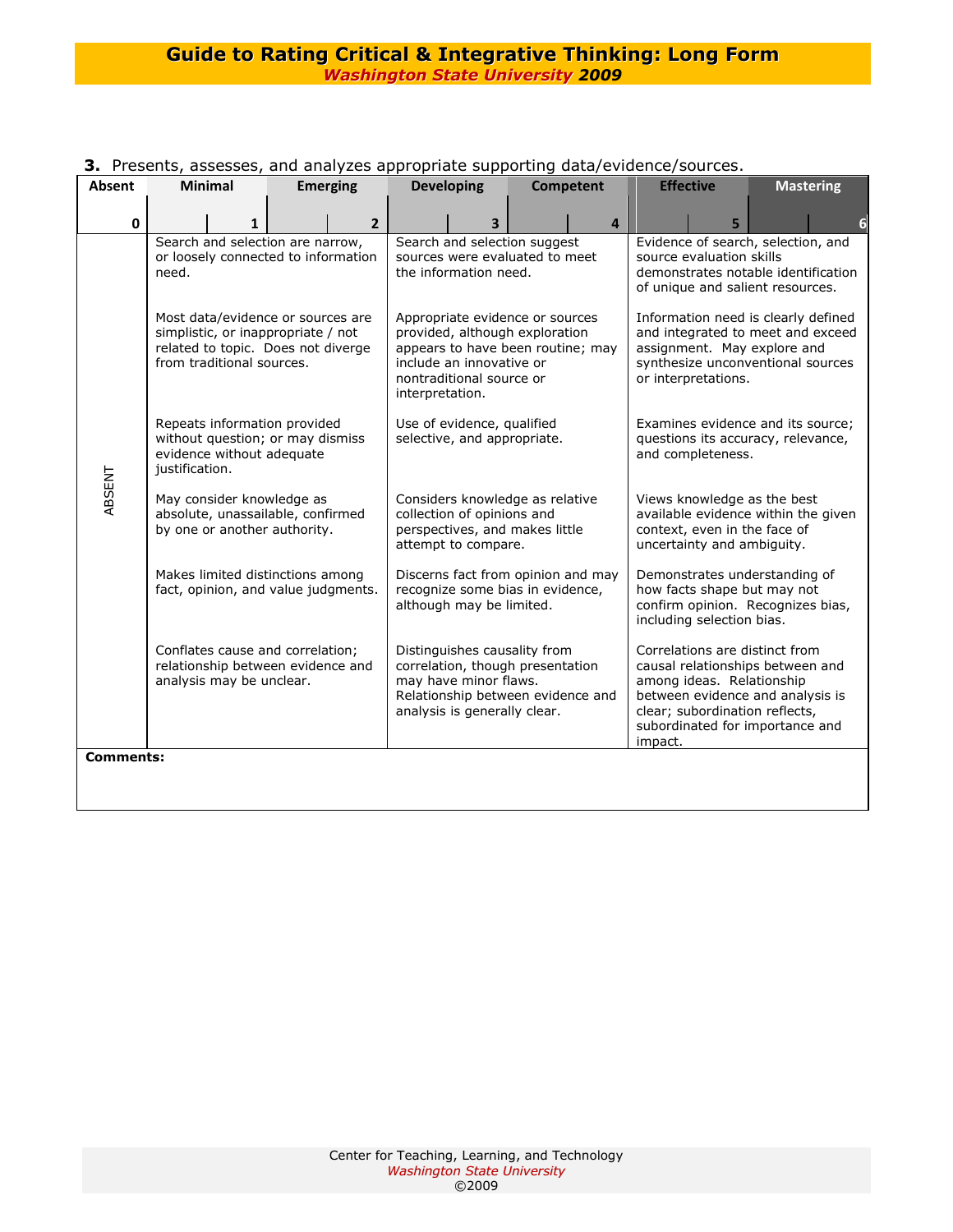| Absent           | <b>Minimal</b>                                                                                                                             | <b>Emerging</b> |                |                 | <b>Developing</b>                                                                                                                                              | Competent | <b>Effective</b>                                                                                                                                                                                                    |                          | <b>Mastering</b>                                                                                              |
|------------------|--------------------------------------------------------------------------------------------------------------------------------------------|-----------------|----------------|-----------------|----------------------------------------------------------------------------------------------------------------------------------------------------------------|-----------|---------------------------------------------------------------------------------------------------------------------------------------------------------------------------------------------------------------------|--------------------------|---------------------------------------------------------------------------------------------------------------|
| $\mathbf{0}$     |                                                                                                                                            |                 | $\overline{2}$ |                 | 3                                                                                                                                                              | 4         |                                                                                                                                                                                                                     | 5                        |                                                                                                               |
|                  | Search and selection are narrow,<br>or loosely connected to information<br>need.                                                           |                 |                |                 | Search and selection suggest<br>sources were evaluated to meet<br>the information need.                                                                        |           |                                                                                                                                                                                                                     | source evaluation skills | Evidence of search, selection, and<br>demonstrates notable identification<br>of unique and salient resources. |
|                  | Most data/evidence or sources are<br>simplistic, or inappropriate / not<br>related to topic. Does not diverge<br>from traditional sources. |                 |                | interpretation. | Appropriate evidence or sources<br>provided, although exploration<br>appears to have been routine; may<br>include an innovative or<br>nontraditional source or |           | Information need is clearly defined<br>and integrated to meet and exceed<br>assignment. May explore and<br>synthesize unconventional sources<br>or interpretations.                                                 |                          |                                                                                                               |
|                  | Repeats information provided<br>without question; or may dismiss<br>evidence without adequate<br>justification.                            |                 |                |                 | Use of evidence, qualified<br>selective, and appropriate.                                                                                                      |           | Examines evidence and its source;<br>questions its accuracy, relevance,<br>and completeness.                                                                                                                        |                          |                                                                                                               |
| ABSENT           | May consider knowledge as<br>absolute, unassailable, confirmed<br>by one or another authority.                                             |                 |                |                 | Considers knowledge as relative<br>collection of opinions and<br>perspectives, and makes little<br>attempt to compare.                                         |           | Views knowledge as the best<br>available evidence within the given<br>context, even in the face of<br>uncertainty and ambiguity.                                                                                    |                          |                                                                                                               |
|                  | Makes limited distinctions among<br>fact, opinion, and value judgments.                                                                    |                 |                |                 | Discerns fact from opinion and may<br>recognize some bias in evidence,<br>although may be limited.                                                             |           | Demonstrates understanding of<br>how facts shape but may not<br>confirm opinion. Recognizes bias,<br>including selection bias.                                                                                      |                          |                                                                                                               |
|                  | Conflates cause and correlation;<br>relationship between evidence and<br>analysis may be unclear.                                          |                 |                |                 | Distinguishes causality from<br>correlation, though presentation<br>may have minor flaws.<br>Relationship between evidence and<br>analysis is generally clear. |           | Correlations are distinct from<br>causal relationships between and<br>among ideas. Relationship<br>between evidence and analysis is<br>clear; subordination reflects,<br>subordinated for importance and<br>impact. |                          |                                                                                                               |
| <b>Comments:</b> |                                                                                                                                            |                 |                |                 |                                                                                                                                                                |           |                                                                                                                                                                                                                     |                          |                                                                                                               |

## **3.** Presents, assesses, and analyzes appropriate supporting data/evidence/sources.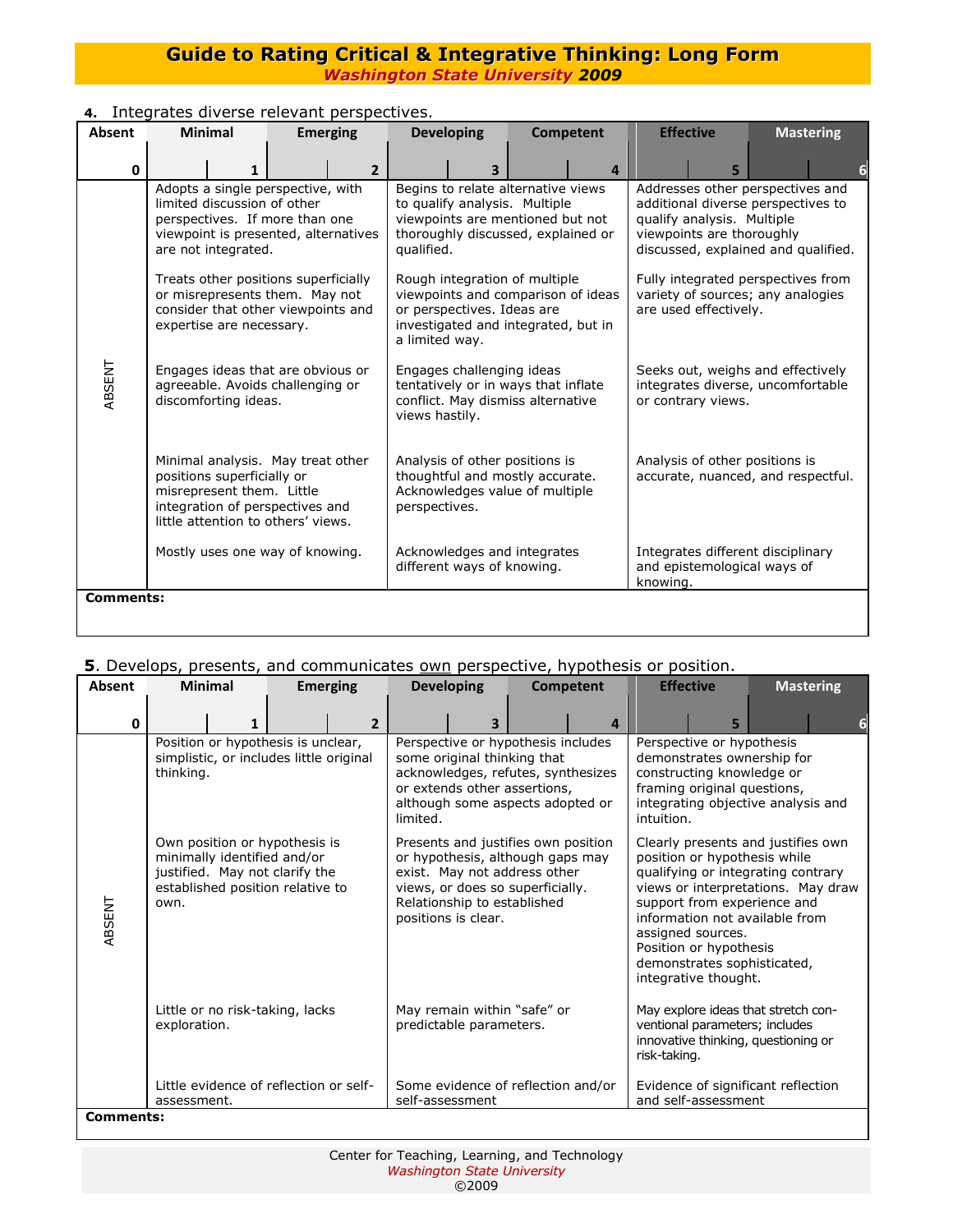| Absent           | <b>Minimal</b><br><b>Developing</b><br><b>Emerging</b>                                                                                                                |  | <b>Competent</b>                                                                                                        |                                                                                                                                                             | <b>Effective</b>                                                                             | <b>Mastering</b>                                                                                                                                                         |                                                                      |   |  |  |  |
|------------------|-----------------------------------------------------------------------------------------------------------------------------------------------------------------------|--|-------------------------------------------------------------------------------------------------------------------------|-------------------------------------------------------------------------------------------------------------------------------------------------------------|----------------------------------------------------------------------------------------------|--------------------------------------------------------------------------------------------------------------------------------------------------------------------------|----------------------------------------------------------------------|---|--|--|--|
| 0                |                                                                                                                                                                       |  | $\overline{2}$                                                                                                          |                                                                                                                                                             |                                                                                              | $\overline{a}$                                                                                                                                                           |                                                                      | 5 |  |  |  |
|                  | Adopts a single perspective, with<br>limited discussion of other<br>perspectives. If more than one<br>viewpoint is presented, alternatives<br>are not integrated.     |  |                                                                                                                         | Begins to relate alternative views<br>to qualify analysis. Multiple<br>viewpoints are mentioned but not<br>thoroughly discussed, explained or<br>qualified. |                                                                                              | Addresses other perspectives and<br>additional diverse perspectives to<br>qualify analysis. Multiple<br>viewpoints are thoroughly<br>discussed, explained and qualified. |                                                                      |   |  |  |  |
|                  | Treats other positions superficially<br>or misrepresents them. May not<br>consider that other viewpoints and<br>expertise are necessary.                              |  |                                                                                                                         | Rough integration of multiple<br>viewpoints and comparison of ideas<br>or perspectives. Ideas are<br>investigated and integrated, but in<br>a limited way.  |                                                                                              | Fully integrated perspectives from<br>variety of sources; any analogies<br>are used effectively.                                                                         |                                                                      |   |  |  |  |
| ABSENT           | Engages ideas that are obvious or<br>agreeable. Avoids challenging or<br>discomforting ideas.                                                                         |  | Engages challenging ideas<br>tentatively or in ways that inflate<br>conflict. May dismiss alternative<br>views hastily. |                                                                                                                                                             | Seeks out, weighs and effectively<br>integrates diverse, uncomfortable<br>or contrary views. |                                                                                                                                                                          |                                                                      |   |  |  |  |
|                  | Minimal analysis. May treat other<br>positions superficially or<br>misrepresent them. Little<br>integration of perspectives and<br>little attention to others' views. |  |                                                                                                                         | Analysis of other positions is<br>thoughtful and mostly accurate.<br>Acknowledges value of multiple<br>perspectives.                                        |                                                                                              |                                                                                                                                                                          | Analysis of other positions is<br>accurate, nuanced, and respectful. |   |  |  |  |
|                  | Mostly uses one way of knowing.                                                                                                                                       |  |                                                                                                                         | Acknowledges and integrates<br>different ways of knowing.                                                                                                   | Integrates different disciplinary<br>and epistemological ways of                             |                                                                                                                                                                          |                                                                      |   |  |  |  |
| <b>Comments:</b> |                                                                                                                                                                       |  |                                                                                                                         |                                                                                                                                                             |                                                                                              |                                                                                                                                                                          |                                                                      |   |  |  |  |

### **4.** Integrates diverse relevant perspectives.

## **5**. Develops, presents, and communicates own perspective, hypothesis or position.

| <b>Absent</b>    | <b>Minimal</b>                                        |   | <b>Emerging</b>                                                                                                                    |                | <b>Developing</b>                                      |                                                                                                                                                                                                   | <b>Competent</b> |              | <b>Effective</b>                                                                                                                                                                                                                                                                                                      |   |  | <b>Mastering</b> |
|------------------|-------------------------------------------------------|---|------------------------------------------------------------------------------------------------------------------------------------|----------------|--------------------------------------------------------|---------------------------------------------------------------------------------------------------------------------------------------------------------------------------------------------------|------------------|--------------|-----------------------------------------------------------------------------------------------------------------------------------------------------------------------------------------------------------------------------------------------------------------------------------------------------------------------|---|--|------------------|
| 0                |                                                       | 1 |                                                                                                                                    | $\overline{2}$ |                                                        | $\overline{\mathbf{z}}$                                                                                                                                                                           |                  | $\mathbf{a}$ |                                                                                                                                                                                                                                                                                                                       | 5 |  | 6                |
|                  | thinking.                                             |   | Position or hypothesis is unclear,<br>simplistic, or includes little original                                                      |                | limited.                                               | Perspective or hypothesis includes<br>some original thinking that<br>acknowledges, refutes, synthesizes<br>or extends other assertions,<br>although some aspects adopted or                       |                  |              | Perspective or hypothesis<br>demonstrates ownership for<br>constructing knowledge or<br>framing original questions,<br>integrating objective analysis and<br>intuition.                                                                                                                                               |   |  |                  |
| ABSENT           | own.                                                  |   | Own position or hypothesis is<br>minimally identified and/or<br>justified. May not clarify the<br>established position relative to |                |                                                        | Presents and justifies own position<br>or hypothesis, although gaps may<br>exist. May not address other<br>views, or does so superficially.<br>Relationship to established<br>positions is clear. |                  |              | Clearly presents and justifies own<br>position or hypothesis while<br>qualifying or integrating contrary<br>views or interpretations. May draw<br>support from experience and<br>information not available from<br>assigned sources.<br>Position or hypothesis<br>demonstrates sophisticated,<br>integrative thought. |   |  |                  |
|                  | exploration.                                          |   | Little or no risk-taking, lacks                                                                                                    |                | May remain within "safe" or<br>predictable parameters. |                                                                                                                                                                                                   |                  |              | May explore ideas that stretch con-<br>ventional parameters; includes<br>innovative thinking, questioning or<br>risk-taking.                                                                                                                                                                                          |   |  |                  |
|                  | Little evidence of reflection or self-<br>assessment. |   |                                                                                                                                    |                | Some evidence of reflection and/or<br>self-assessment  |                                                                                                                                                                                                   |                  |              | Evidence of significant reflection<br>and self-assessment                                                                                                                                                                                                                                                             |   |  |                  |
| <b>Comments:</b> |                                                       |   |                                                                                                                                    |                |                                                        |                                                                                                                                                                                                   |                  |              |                                                                                                                                                                                                                                                                                                                       |   |  |                  |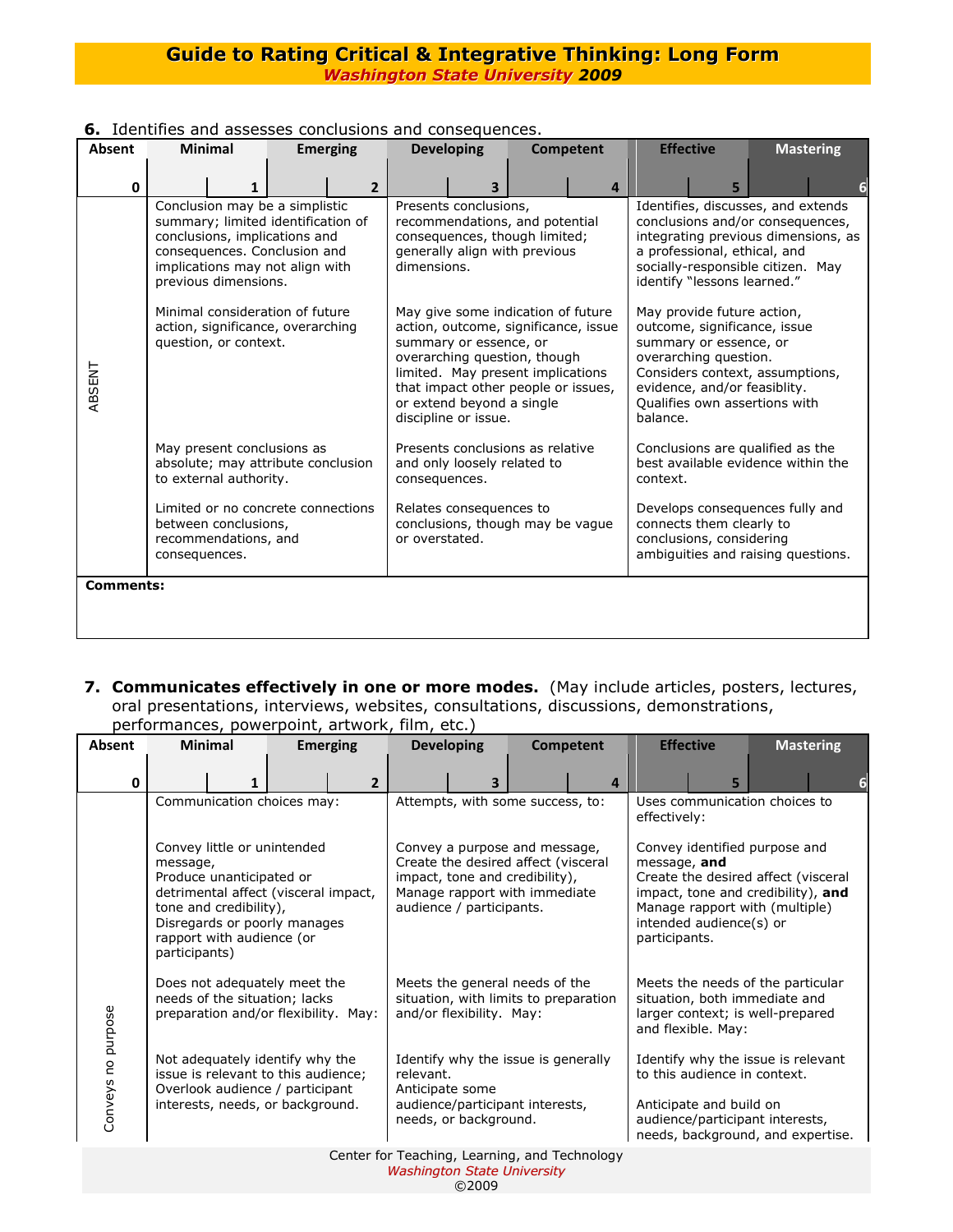| Absent           | <b>Minimal</b>                                                                                                                                                                                   | <b>Emerging</b> | <b>Developing</b>                                                                                                                                                                                                                                                     | Competent | <b>Effective</b>                                                                                                                                                                                                              | <b>Mastering</b>                                                      |  |  |
|------------------|--------------------------------------------------------------------------------------------------------------------------------------------------------------------------------------------------|-----------------|-----------------------------------------------------------------------------------------------------------------------------------------------------------------------------------------------------------------------------------------------------------------------|-----------|-------------------------------------------------------------------------------------------------------------------------------------------------------------------------------------------------------------------------------|-----------------------------------------------------------------------|--|--|
| $\Omega$         |                                                                                                                                                                                                  | $\overline{2}$  |                                                                                                                                                                                                                                                                       | 4         |                                                                                                                                                                                                                               | 5                                                                     |  |  |
|                  | Conclusion may be a simplistic<br>summary; limited identification of<br>conclusions, implications and<br>consequences. Conclusion and<br>implications may not align with<br>previous dimensions. |                 | Presents conclusions,<br>recommendations, and potential<br>consequences, though limited;<br>generally align with previous<br>dimensions.                                                                                                                              |           | Identifies, discusses, and extends<br>conclusions and/or consequences,<br>integrating previous dimensions, as<br>a professional, ethical, and<br>socially-responsible citizen. May<br>identify "lessons learned."             |                                                                       |  |  |
| ABSENT           | Minimal consideration of future<br>action, significance, overarching<br>question, or context.                                                                                                    |                 | May give some indication of future<br>action, outcome, significance, issue<br>summary or essence, or<br>overarching question, though<br>limited. May present implications<br>that impact other people or issues,<br>or extend beyond a single<br>discipline or issue. |           | May provide future action,<br>outcome, significance, issue<br>summary or essence, or<br>overarching question.<br>Considers context, assumptions,<br>evidence, and/or feasiblity.<br>Qualifies own assertions with<br>balance. |                                                                       |  |  |
|                  | May present conclusions as<br>absolute; may attribute conclusion<br>to external authority.                                                                                                       |                 | Presents conclusions as relative<br>and only loosely related to<br>consequences.                                                                                                                                                                                      |           | Conclusions are qualified as the<br>best available evidence within the<br>context.                                                                                                                                            |                                                                       |  |  |
|                  | Limited or no concrete connections<br>between conclusions,<br>recommendations, and<br>consequences.                                                                                              |                 | Relates consequences to<br>conclusions, though may be vague<br>or overstated.                                                                                                                                                                                         |           | connects them clearly to<br>conclusions, considering                                                                                                                                                                          | Develops consequences fully and<br>ambiguities and raising questions. |  |  |
| <b>Comments:</b> |                                                                                                                                                                                                  |                 |                                                                                                                                                                                                                                                                       |           |                                                                                                                                                                                                                               |                                                                       |  |  |

# **6.** Identifies and assesses conclusions and consequences.

**7. Communicates effectively in one or more modes.** (May include articles, posters, lectures, oral presentations, interviews, websites, consultations, discussions, demonstrations, performances, powerpoint, artwork, film, etc.)

| Absent                                        | <b>Minimal</b>                                                                                                                                                           |   | <b>Developing</b><br><b>Emerging</b>                                                                                                          |                |                                                                                                          | <b>Competent</b>                                                                                    |  | <b>Effective</b> |                                                                                                                                                                       | <b>Mastering</b> |  |  |
|-----------------------------------------------|--------------------------------------------------------------------------------------------------------------------------------------------------------------------------|---|-----------------------------------------------------------------------------------------------------------------------------------------------|----------------|----------------------------------------------------------------------------------------------------------|-----------------------------------------------------------------------------------------------------|--|------------------|-----------------------------------------------------------------------------------------------------------------------------------------------------------------------|------------------|--|--|
| $\mathbf{0}$                                  |                                                                                                                                                                          | 1 |                                                                                                                                               | $\overline{2}$ |                                                                                                          | 3                                                                                                   |  | 4                |                                                                                                                                                                       | 5                |  |  |
|                                               | message,                                                                                                                                                                 |   | Communication choices may:<br>Convey little or unintended                                                                                     |                | Attempts, with some success, to:<br>Convey a purpose and message,<br>Create the desired affect (visceral |                                                                                                     |  |                  | Uses communication choices to<br>effectively:<br>Convey identified purpose and<br>message, and                                                                        |                  |  |  |
| Conveys no purpose                            | Produce unanticipated or<br>detrimental affect (visceral impact,<br>tone and credibility),<br>Disregards or poorly manages<br>rapport with audience (or<br>participants) |   |                                                                                                                                               |                | impact, tone and credibility),<br>Manage rapport with immediate<br>audience / participants.              |                                                                                                     |  |                  | Create the desired affect (visceral<br>impact, tone and credibility), and<br>Manage rapport with (multiple)<br>intended audience(s) or<br>participants.               |                  |  |  |
|                                               |                                                                                                                                                                          |   | Does not adequately meet the<br>needs of the situation; lacks<br>preparation and/or flexibility. May:                                         |                |                                                                                                          | Meets the general needs of the<br>situation, with limits to preparation<br>and/or flexibility. May: |  |                  | Meets the needs of the particular<br>situation, both immediate and<br>larger context; is well-prepared<br>and flexible. May:                                          |                  |  |  |
|                                               |                                                                                                                                                                          |   | Not adequately identify why the<br>issue is relevant to this audience;<br>Overlook audience / participant<br>interests, needs, or background. |                | relevant.<br>Anticipate some                                                                             | Identify why the issue is generally<br>audience/participant interests,<br>needs, or background.     |  |                  | Identify why the issue is relevant<br>to this audience in context.<br>Anticipate and build on<br>audience/participant interests,<br>needs, background, and expertise. |                  |  |  |
| Center for Teaching, Learning, and Technology |                                                                                                                                                                          |   |                                                                                                                                               |                |                                                                                                          |                                                                                                     |  |                  |                                                                                                                                                                       |                  |  |  |